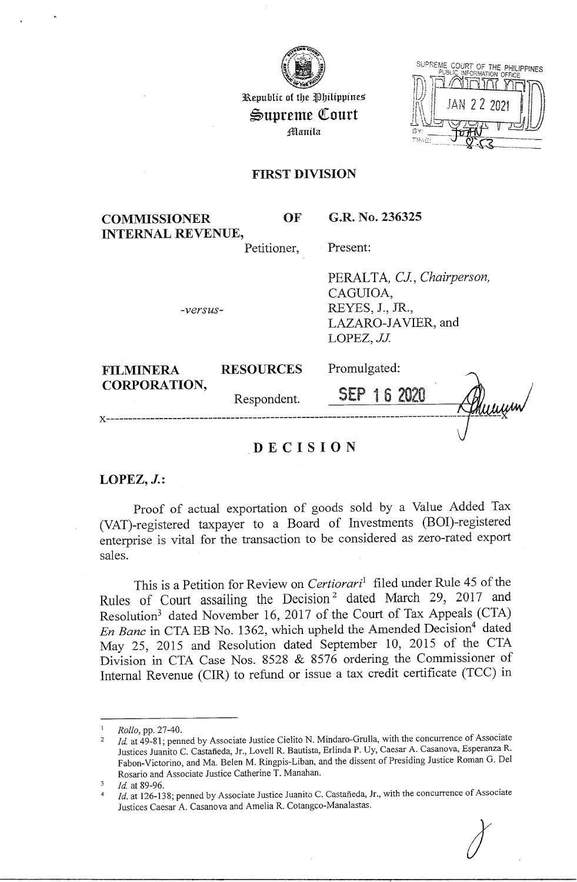

Republic of the Philippines  $\mathfrak{S}$ upreme Court j/lllanila

| SUPREME COURT OF THE PHILIPPINES<br>PUBLIC INFORMATION OFFICE |
|---------------------------------------------------------------|
|                                                               |
| <b>JAN 22 2021</b>                                            |
|                                                               |
| BY:                                                           |
|                                                               |

## **FIRST DIVISION**

| <b>COMMISSIONER</b>      | OF                   | G.R. No. 236325                                                                            |
|--------------------------|----------------------|--------------------------------------------------------------------------------------------|
| <b>INTERNAL REVENUE,</b> | Petitioner, Present: |                                                                                            |
|                          |                      | PERALTA, CJ., Chairperson,<br>CAGUIOA,<br>$\sim$ $\sim$ $\sim$ $\sim$ $\sim$ $\sim$ $\sim$ |

*-versus-*

REYES, **J.,** JR., LAZARO-JAVIER, and LOPEZ, JJ.

| <b>FILMINERA</b>    | <b>RESOURCES</b> | Promulgated: |        |
|---------------------|------------------|--------------|--------|
| <b>CORPORATION,</b> | Respondent.      | SEP 16 2020  | thumum |
|                     |                  |              |        |

# **DECISION**

**LOPEZ, J.:** 

Proof of actual exportation of goods sold by a Value Added Tax (VAT)-registered taxpayer to a Board of Investments (BOI)-registered enterprise is vital for the transaction to be considered as zero-rated export sales.

This is a Petition for Review on *Certiorari*<sup>1</sup> filed under Rule 45 of the Rules of Court assailing the Decision<sup>2</sup> dated March 29, 2017 and Resolution3 dated November 16, 2017 of the Court of Tax Appeals (CTA) *En Banc* in CTA EB No. 1362, which upheld the Amended Decision<sup>4</sup> dated May 25, 2015 and Resolution dated September 10, 2015 of the CTA Division in CTA Case Nos. 8528 & 8576 ordering the Commissioner of Internal Revenue (CIR) to refund or issue a tax credit certificate (TCC) in

 $\mathbf{3}$ *Id.* at 89-96.

*Rollo,* pp. 27-40.

<sup>&</sup>lt;sup>2</sup> *Id.* at 49-81; penned by Associate Justice Cielito N. Mindaro-Grulla, with the concurrence of Associate Justices Juanito C. Castaneda, Jr., Lovell R. Bautista, Erlinda P. Uy, Caesar A. Casanova, Esperanza R. Pabon-Victorino, and Ma. Belen M. Ringpis-Liban, and the dissent of Presiding Justice Roman G. Del Rosario and Associate Justice Catherine T. Manahan.

<sup>4</sup>*Id.* at 126-138; penned by Associate Justice Juanito C. Castaneda, Jr., with the concurrence of Associate Justices Caesar A. Casanova and Amelia R. Cotangco-Manalastas.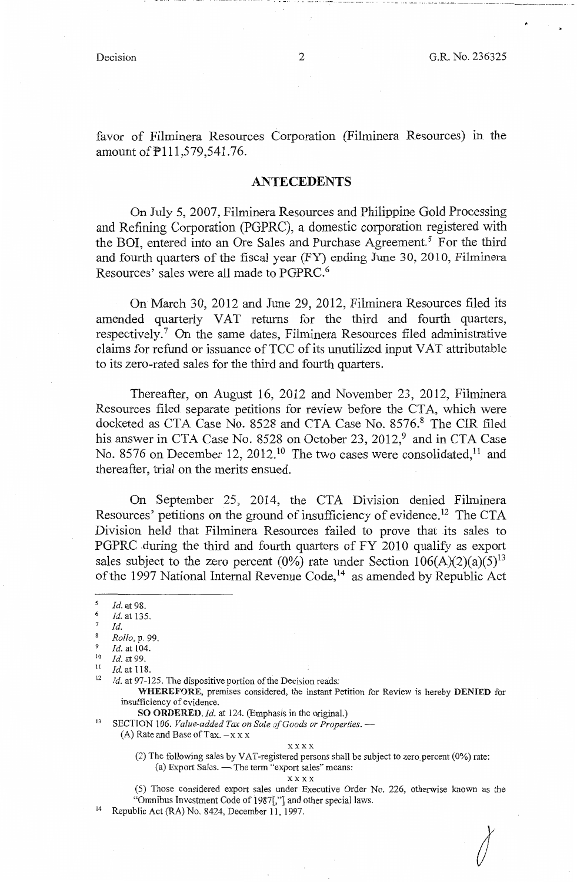*I* 

favor of Filminera Resources Corporation (Filminera Resources) in the amount of  $P111,579,541.76$ .

## **ANTECEDENTS**

On July 5, 2007, Filminera Resources and Philippine Gold Processing and Refining Corporation (PGPRC), a domestic corporation registered with the BOI, entered into an Ore Sales and Purchase Agreement.<sup>5</sup> For the third and fourth quarters of the fiscal year (FY) ending June 30, 2010, Filminera Resources' sales were all made to PGPRC.<sup>6</sup>

On March 30, 2012 and June 29, 2012, Filminera Resources filed its amended quarterly VAT returns for the third and fourth quarters, respectively.<sup>7</sup> On the same dates, Filminera Resources filed administrative claims for refund or issuance of TCC of its unutilized input VAT attributable to its zero-rated sales for the third and fourth quarters.

Thereafter, on August 16, 2012 and November 23, 2012, Filminera Resources filed separate petitions for review before the CTA, which were docketed as CTA Case No. 8528 and CTA Case No. 8576.8 The CIR filed his answer in CTA Case No. 8528 on October 23, 2012,<sup>9</sup> and in CTA Case No. 8576 on December 12, 2012.<sup>10</sup> The two cases were consolidated,<sup>11</sup> and thereafter, trial on the merits ensued.

On September 25, 2014, the CTA Division denied Filminera Resources' petitions on the ground of insufficiency of evidence.<sup>12</sup> The CTA Division held that Filminera Resources failed to prove that its sales to PGPRC during the third and fourth quarters of FY 2010 qualify as export sales subject to the zero percent (0%) rate under Section  $106(A)(2)(a)(5)^{13}$ of the 1997 National Internal Revenue Code,<sup>14</sup> as amended by Republic Act

<sup>13</sup> SECTION 106. *Value-added Tax on Sale of Goods or Properties.* --(A) Rate and Base of Tax.  $-x \times x$ 

#### xxxx

(2) The following sales by VAT-registered persons shall be subject to zero percent (0%) rate: (a) Export Sales.  $-$  The term "export sales" means:

#### **xxxx**

- (5) Those considered export sales under Executive Order No. 226, otherwise known as the "Omnibus Investment Code of 1987[,"] and other special laws.<br>Republic Act (RA) No. 8424, December 11, 1997.
- 

*<sup>5</sup>*Id. at 98. 6 *Id.* at 135.

*Id.* 

<sup>8</sup>*Rollo,* p. 99.

 $\frac{9}{10}$  *Id.* at 104.<br>  $\frac{10}{11}$  *Id.* at 118

<sup>&</sup>lt;sup>11</sup> *Id.* at 118.<br><sup>12</sup> *Id.* at 97-125. The dispositive portion of the Decision reads:

**WHEREFORE,** premises considered, the instant Petition for Review is hereby **DENIED** for insufficiency of evidence.<br>SO ORDERED. Id. at 124. (Emphasis in the original.)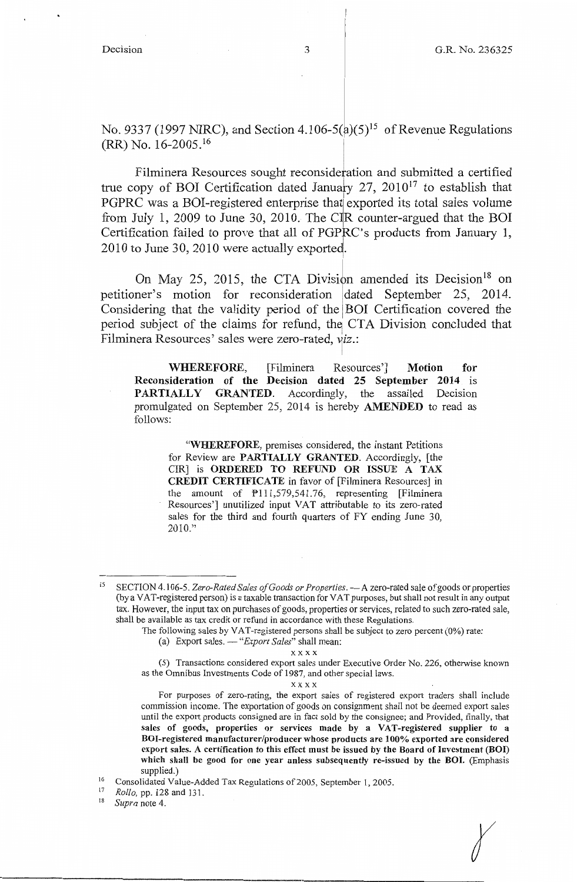$\chi$ 

No. 9337 (1997 NIRC), and Section 4.106-5( $\hat{a}$ )(5)<sup>15</sup> of Revenue Regulations (RR) No. 16-2005. <sup>16</sup>

Filminera Resources sought reconsideration and submitted a certified true copy of BOI Certification dated January  $27$ ,  $2010^{17}$  to establish that PGPRC was a BOI-registered enterprise that exported its total sales volume from July 1, 2009 to June 30, 2010. The CIR counter-argued that the BOI Certification failed to prove that all of PGPRC's products from January 1, 2010 to June 30, 2010 were actually exported.

On May 25, 2015, the CTA Division amended its Decision<sup>18</sup> on petitioner's motion for reconsideration dated September 25, 2014. Considering that the validity period of the BOI Certification covered the period subject of the claims for refund, the CTA Division concluded that Filminera Resources' sales were zero-rated, yiz.:

**WHEREFORE,** [Filminera Resources'] **Motion for Reconsideration of the Decision dated 25 September 2014** is **PARTIALLY GRANTED.** Accordingly, the assailed Decision promulgated on September 25, 2014 is hereby **AMENDED** to read as follows:

**"WHEREFORE,** premises considered, the instant Petitions for Review are **PARTIALLY GRANTED.** Accordingly, [the CIR] is **ORDERED TO REFUND OR ISSUE** A **TAX CREDIT CERTIFICATE** in favor of [Filminera Resources] in the amount of P111,579,541.76, representing [Filminera Resources'] unutilized input VAT attributable to its zero-rated sales for the third and fourth quarters of FY ending June 30,  $2010."$ 

 $\mathbf{x} \ge \mathbf{x} \ge \mathbf{x}$ 

xxxx

<sup>&</sup>lt;sup>15</sup> SECTION 4.106-5. Zero-Rated Sales of Goods or Properties. - A zero-rated sale of goods or properties (by a VAT-registered person) is a taxable transaction for VAT purposes, but shall not result in any output tax. However, the input tax on purchases of goods, properties or services, related to such zero-rated sale, shall be available as tax credit or refund in accordance with these Regulations.

The following sales by VAT-registered persons shall be subject to zero percent (0%) rate:

<sup>(</sup>a) Export sales. - "*Export Sales*" shall mean:

<sup>(5)</sup> Transactions considered export sales under Executive Order No. 226, otherwise known as the Omnibus Investments Code of 1987, and other special laws.

For purposes of zero-rating, the export sales of registered export traders shall include commission income. The exportation of goods on consignment shall not be deemed export sales until the export products consigned are in fact sold by the consignee; and Provided, finally, that sales of goods, properties or services made by a VAT-registered supplier to a **BO I-registered manufacturer/producer whose products are 100% exported are considered export sales. A certification to this effect must be issued by the Board of Investment (BOI) which shall be good for one year unless subsequently re-issued by the BOI.** (Emphasis supplied.)

<sup>&</sup>lt;sup>16</sup> Consolidated Value-Added Tax Regulations of 2005, September 1, 2005.

<sup>17</sup>*Rollo,* pp. 128 and 131. 18 *Supra* note 4.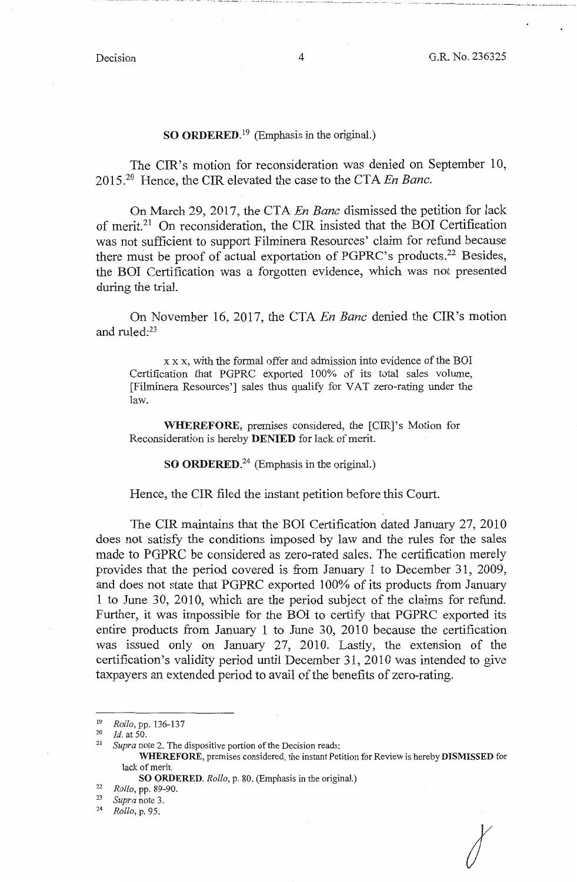## **SO ORDERED.**<sup>19</sup> (Emphasis in the original.)

The CIR's motion for reconsideration was denied on September 10, 2015.20 Hence, the CIR elevated the case to the CTA *En Banc.* 

On March 29, 2017, the CTA *En Banc* dismissed the petition for lack of merit.21 On reconsideration, the CIR insisted that the BOI Certification was not sufficient to support Filminera Resources' claim for refund because there must be proof of actual exportation of PGPRC's products.22 Besides, the BOI Certification was a forgotten evidence, which was not presented during the trial.

On November 16, 2017, the CTA *En Banc* denied the CIR's motion and ruled:23

xx x, with the formal offer and admission into evidence of the BOI Certification that PGPRC exported 100% of its total sales volume, [Filminera Resources'] sales thus qualify for VAT zero-rating under the law.

**WHEREFORE,** premises considered, the [CIR]'s Motion for Reconsideration is hereby **DENIED** for lack of merit.

**SO ORDERED.<sup>24</sup>**(Emphasis in the original.)

Hence, the CIR filed the instant petition before this Court.

The CIR maintains that the BOI Certification dated January 27, 2010 does not satisfy the conditions imposed by law and the rules for the sales made to PGPRC be considered as zero-rated sales. The certification merely provides that the period covered is from January 1 to December 31, 2009, and does not state that PGPRC exported 100% of its products from January 1 to June 30, 2010, which are the period subject of the claims for refund. Further, it was impossible for the BOI to certify that PGPRC exported its entire products from January 1 to June 30, 2010 because the certification was issued only on January 27, 2010. Lastly, the extension of the certification's validity period until December 31, 2010 was intended to give taxpayers an extended period to avail of the benefits of zero-rating.

*I* 

---· ·- -- .. -- ------ .. ·-····-·-··-·-··-- -· - ·---- ----· ····----·- ----··-----· -- --- ·-·· - --- -· ----------------- --·- -------·· - -- -·----------- ..

<sup>&</sup>lt;sup>19</sup> *Rollo*, pp. 136-137<br><sup>20</sup> *Id.* at 50.<br><sup>21</sup> Supra note 2. The 4

Supra note 2. The dispositive portion of the Decision reads:

**WHEREFORE,** premises considered, the instant Petition for Review is hereby **DISMISSED** for lack of merit.

**SO ORDERED.** *Rollo,* p. 80. (Emphasis in the original.) 22 *Rollo,* pp. 89-90.

<sup>23</sup>*Supra* note 3. 24 *Rollo,* p. 95.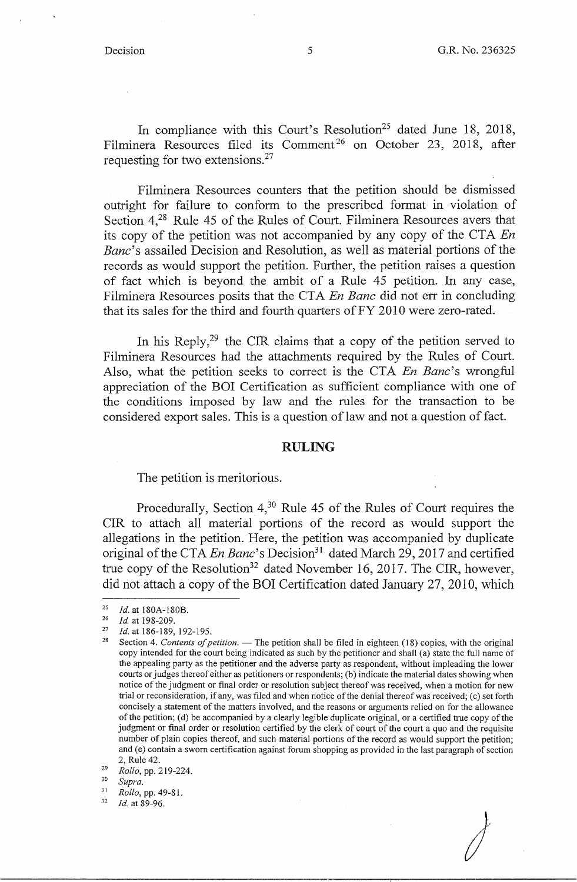In compliance with this Court's Resolution<sup>25</sup> dated June 18, 2018, Filminera Resources filed its Comment<sup>26</sup> on October 23, 2018, after requesting for two extensions.<sup>27</sup>

Filminera Resources counters that the petition should be dismissed outright for failure to conform to the prescribed format in violation of Section  $4^{28}$  Rule 45 of the Rules of Court. Filminera Resources avers that its copy of the petition was not accompanied by any copy of the CTA *En Bane's* assailed Decision and Resolution, as well as material portions of the records as would support the petition. Further, the petition raises a question of fact which is beyond the ambit of a Rule 45 petition. In any case, Filminera Resources posits that the CTA *En Banc* did not err in concluding that its sales for the third and fourth quarters of FY 2010 were zero-rated.

In his Reply,<sup>29</sup> the CIR claims that a copy of the petition served to Filminera Resources had the attachments required by the Rules of Court. Also, what the petition seeks to correct is the CTA *En Banc*'s wrongful appreciation of the BOI Certification as sufficient compliance with one of the conditions imposed by law and the rules for the transaction to be considered export sales. This is a question of law and not a question of fact.

## **RULING**

The petition is meritorious.

Procedurally, Section  $4<sup>30</sup>$  Rule 45 of the Rules of Court requires the CIR to attach all material portions of the record as would support the allegations in the petition. Here, the petition was accompanied by duplicate original of the CTA *En Banc's* Decision<sup>31</sup> dated March 29, 2017 and certified true copy of the Resolution<sup>32</sup> dated November 16, 2017. The CIR, however, did not attach a copy of the BOI Certification dated January 27, 2010, which

<sup>&</sup>lt;sup>25</sup> *Id.* at 180A-180B.<br><sup>26</sup> *Id.* at 198-209.<br><sup>27</sup> *Id.* at 186-189, 192-195.<br><sup>28</sup> Section 4. *Contents of petition*. — The petition shall be filed in eighteen (18) copies, with the original copy intended for the court being indicated as such by the petitioner and shall (a) state the full name of the appealing party as the petitioner and the adverse party as respondent, without impleading the lower courts or judges thereof either as petitioners or respondents; (b) indicate the material dates showing when notice of the judgment or final order or resolution subject thereof was received, when a motion for new trial or reconsideration, if any, was filed and when notice of the denial thereof was received; (c) set forth concisely a statement of the matters involved, and the reasons or arguments relied on for the allowance of the petition; (d) be accompanied by a clearly legible duplicate original, or a certified true copy of the judgment or final order or resolution certified by the clerk of court of the court a quo and the requisite number of plain copies thereof, and such material portions of the record as would support the petition; and (e) contain a sworn certification against forum shopping as provided in the last paragraph of section

<sup>2,</sup> Rule 42. 29 *Rollo,* pp. 219-224. 30 *Supra.* 

<sup>31</sup>*Rollo,* pp. 49-81. 32 *Id* at 89-96.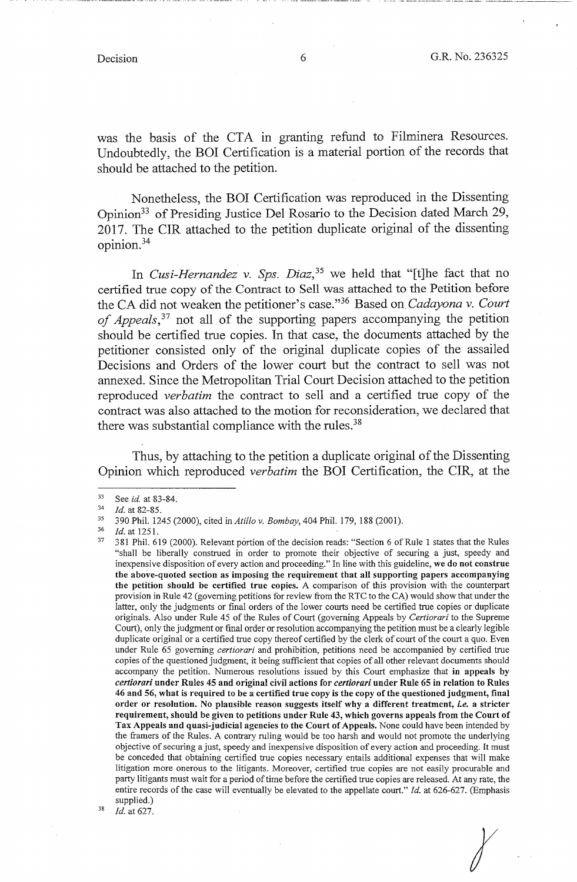$\chi$ 

.. ·- ------------·· -·--·-··-·--· ··--····-------.J----

was the basis of the CTA in granting refund to Filminera Resources. Undoubtedly, the BOI Certification is a material portion of the records that should be attached to the petition.

Nonetheless, the BOI Certification was reproduced in the Dissenting Opinion33 of Presiding Justice Del Rosario to the Decision dated March 29, 2017. The CIR attached to the petition duplicate original of the dissenting opinion.<sup>34</sup>

In *Cusi-Hernandez v. Sps. Diaz*,<sup>35</sup> we held that "[t]he fact that no certified true copy of the Contract to Sell was attached to the Petition before the CA did not weaken the petitioner's case."36 Based on *Cadayona v. Court of Appeals,* 37 not all of the supporting papers accompanying the petition should be certified true copies. In that case, the documents attached by the petitioner consisted only of the original duplicate copies of the assailed Decisions and Orders of the lower court but the contract to sell was not annexed. Since the Metropolitan Trial Court Decision attached to the petition reproduced *verbatim* the contract to sell and a certified true copy of the contract was also attached to the motion for reconsideration, we declared that there was substantial compliance with the rules. $38$ 

Thus, by attaching to the petition a duplicate original of the Dissenting Opinion which reproduced *verbatim* the BOI Certification, the CIR, at the

<sup>33</sup> See *id.* at 83-84.<br> *Id.* at 82-85.<br>
390 Phil. 1245 (2000), cited in *Attillov. Bombay*, 404 Phil. 179, 188 (2001).<br> *Id.* at 1251.<br>
381 Phil. 619 (2000). Relevant portion of the decision reads: "Section 6 of Rule 1 s "shall be liberally construed in order to promote their objective of securing a just, speedy and inexpensive disposition of every action and proceeding." In line with this guideline, **we do not construe the above-quoted section as imposing the requirement that all supporting papers accompanying the petition should be certified true copies.** A comparison of this provision with the counterpart provision **in** Rule 42 (governing petitions for review from the RTC to the CA) would show that under the latter, only the judgments or final orders of the lower courts need be certified true copies or duplicate originals. Also under Rule 45 of the Rules of Court (governing Appeals by *Certiorari* to the Supreme Court), only the judgment or final order or resolution accompanying the petition must be a clearly legible duplicate original or a certified true copy thereof certified by the clerk of court of the court a quo. Even under Rule 65 governing *certiorari* and prohibition, petitions need be accompanied by certified true copies of the questioned judgment, it being sufficient that copies of all other relevant documents should accompany the petition. Numerous resolutions issued by this Court emphasize that **in appeals by**  *certiorari* **under Rules 45 and original civil actions for** *certiorari* **under Rule 65 in relation to Rules 46 and 56, what is required to be a certified true copy is the copy of the questioned judgment, final order or resolution. No plausible reason suggests itself why a different treatment,** *i.e.* **a stricter requirement, should be given to petitions under Rule 43, which governs appeals from the Court of Tax Appeals and quasi-judicial agencies to the Court of Appeals.** None could have been intended by the framers of the Rules. A contrary ruling would be too harsh and would not promote the underlying objective of securing a just, speedy and inexpensive disposition of every action and proceeding. It must be conceded that obtaining certified true copies necessary entails additional expenses that will make litigation more onerous to the litigants. Moreover, certified true copies are not easily procurable and party litigants must wait for a period of time before the certified true copies are released. At any rate, the entire records of the case will eventually be elevated to the appellate court." *Id.* at 626-627. (Emphasis supplied.)<br><sup>38</sup> *Id.* at 627.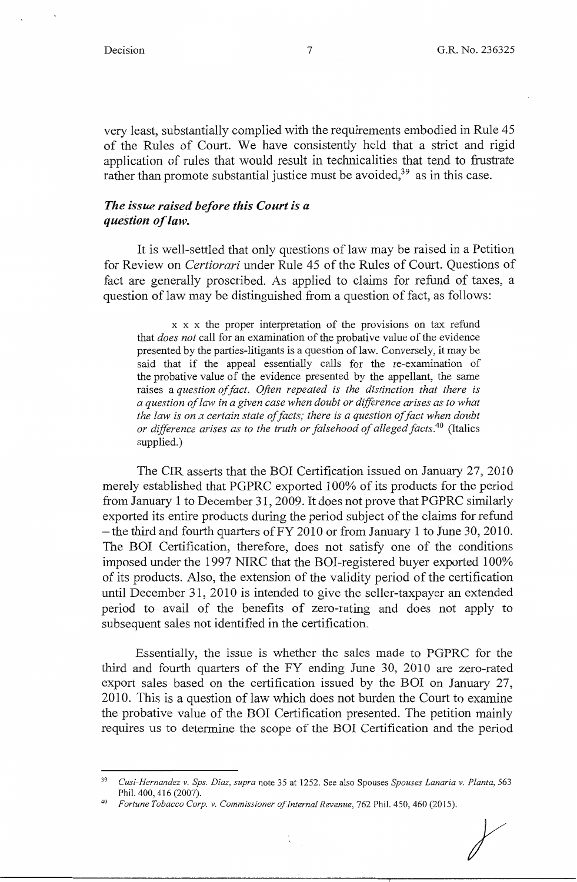very least, substantially complied with the requirements embodied in Rule 45 of the Rules of Court. We have consistently held that a strict and rigid application of rules that would result in technicalities that tend to frustrate rather than promote substantial justice must be avoided,  $39$  as in this case.

## *The issue raised before this Court is a question of law.*

It is well-settled that only questions of law may be raised in a Petition for Review on *Certiorari* under Rule 45 of the Rules of Court. Questions of fact are generally proscribed. As applied to claims for refund of taxes, a question of law may be distinguished from a question of fact, as follows:

x x x the proper interpretation of the provisions on tax refund that *does not* call for an examination of the probative value of the evidence presented by the parties-litigants is a question of law. Conversely, it may be said that if the appeal essentially calls for the re-examination of the probative value of the evidence presented by the appellant, the same raises a *question of fact. Often repeated is the distinction that there is a question of law in a given case when doubt or difference arises as to what the law is on a certain state of facts; there is a question of fact when doubt or difference arises as to the truth or falsehood of alleged facts.40* (Italics supplied.)

The CIR asserts that the BOI Certification issued on January 27, 2010 merely established that PGPRC exported 100% of its products for the period from January 1 to December 31, 2009. It does not prove that PGPRC similarly exported its entire products during the period subject of the claims for refund - the third and fourth quarters of  $FY$  2010 or from January 1 to June 30, 2010. The BOI Certification, therefore, does not satisfy one of the conditions imposed under the 1997 NIRC that the BOI-registered buyer exported 100% of its products. Also, the extension of the validity period of the certification until December 31, 2010 is intended to give the seller-taxpayer an extended period to avail of the benefits of zero-rating and does not apply to subsequent sales not identified in the certification.

Essentially, the issue is whether the sales made to PGPRC for the third and fourth quarters of the FY ending June 30, 2010 are zero-rated export sales based on the certification issued by the BOI on January 27, 2010. This is a question of law which does not burden the Court to examine the probative value of the BOI Certification presented. The petition mainly requires us to determine the scope of the BOI Certification and the period

<sup>39</sup>*Cusi-Hernandez v. Sps. Diaz, supra* note 35 at 1252. See also Spouses *Spouses Lanaria v. Planta,* 563 Phil. 400, 416 (2007).

<sup>4</sup> ° *Fortune Tobacco Corp. v. Commissioner of Internal Revenue,* 762 Phil. 450, 460 (2015).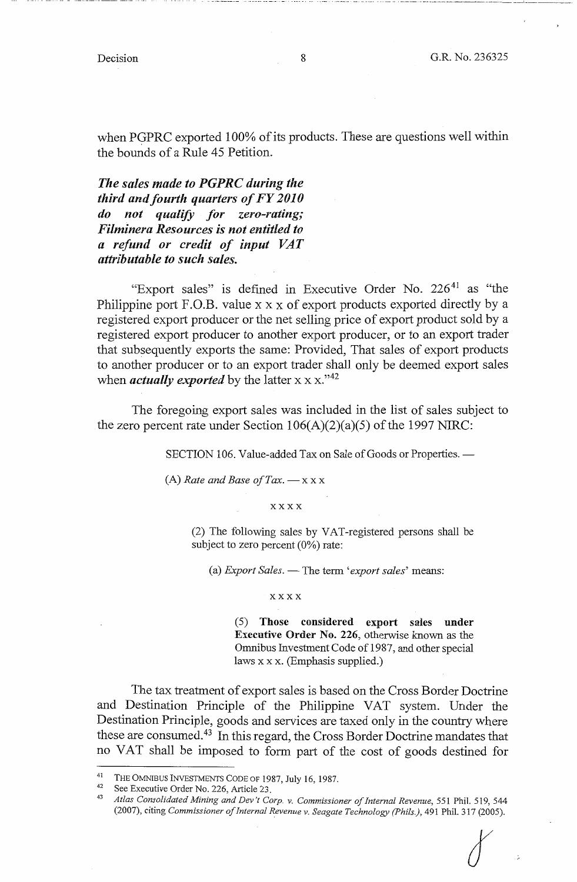when PGPRC exported 100% of its products. These are questions well within the bounds of a Rule 45 Petition.

*The sales made to PGPRC during the third and fourth quarters of FY 2010 do not qualify for zero-rating; Filminera Resources is not entitled to a refund or credit of input VAT attributable to such sales.* 

"Export sales" is defined in Executive Order No.  $226<sup>41</sup>$  as "the Philippine port F.O.B. value x x x of export products exported directly by a registered export producer or the net selling price of export product sold by a registered export producer to another export producer, or to an export trader that subsequently exports the same: Provided, That sales of export products to another producer or to an export trader shall only be deemed export sales when *actually exported* by the latter  $x \times x$ .<sup>142</sup>

The foregoing export sales was included in the list of sales subject to the zero percent rate under Section  $106(A)(2)(a)(5)$  of the 1997 NIRC:

SECTION 106. Value-added Tax on Sale of Goods or Properties. -

(A) *Rate and Base of Tax.*  $-x x x$ 

xxxx

(2) The following sales by VAT-registered persons shall be subject to zero percent (0%) rate:

(a) *Export Sales.* - The term 'export sales' means:

## **xxxx**

(5) **Those considered export sales under Executive Order No. 226,** otherwise known as the Omnibus Investment Code of 1987, and other special laws xx x. (Emphasis supplied.)

The tax treatment of export sales is based on the Cross Border Doctrine and Destination Principle of the Philippine VAT system. Under the Destination Principle, goods and services are taxed only in the country where these are consumed.<sup>43</sup> In this regard, the Cross Border Doctrine mandates that no VAT shall be imposed to form part of the cost of goods destined for

<sup>&</sup>lt;sup>41</sup> THE OMNIBUS INVESTMENTS CODE OF 1987, July 16, 1987.<br><sup>42</sup> See Executive Order No. 226, Article 23.<br><sup>43</sup> *Atlas Consolidated Mining and Dev't Corp. v. Commissioner of Internal Revenue*, 551 Phil. 519, 544 (2007), citing *Commissioner of Internal Revenue v. Seagate Technology (Phils.),* 491 Phil. 317 (2005).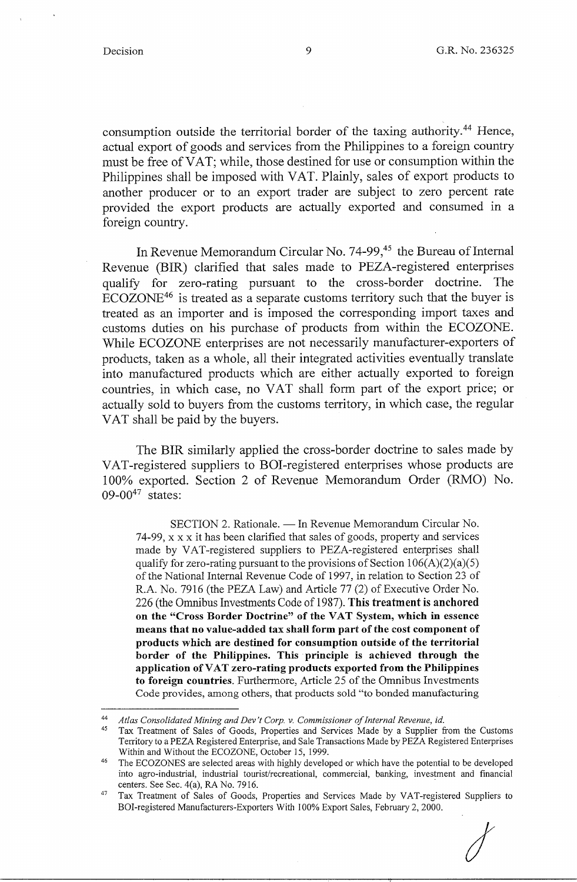consumption outside the territorial border of the taxing authority. 44 Hence, actual export of goods and services from the Philippines to a foreign country must be free of VAT; while, those destined for use or consumption within the Philippines shall be imposed with VAT. Plainly, sales of export products to another producer or to an export trader are subject to zero percent rate provided the export products are actually exported and consumed in a foreign country.

In Revenue Memorandum Circular No. 74-99,<sup>45</sup> the Bureau of Internal Revenue (BIR) clarified that sales made to PEZA-registered enterprises qualify for zero-rating pursuant to the cross-border doctrine. The ECOZONE46 is treated as a separate customs territory such that the buyer is treated as an importer and is imposed the corresponding import taxes and customs duties on his purchase of products from within the ECOZONE. While ECOZONE enterprises are not necessarily manufacturer-exporters of products, taken as a whole, all their integrated activities eventually translate into manufactured products which are either actually exported to foreign countries, in which case, no VAT shall form part of the export price; or actually sold to buyers from the customs territory, in which case, the regular VAT shall be paid by the buyers.

The BIR similarly applied the cross-border doctrine to sales made by VAT-registered suppliers to BOI-registered enterprises whose products are l 00% exported. Section 2 of Revenue Memorandum Order (RMO) No. 09-00 $47$  states:

SECTION 2. Rationale. - In Revenue Memorandum Circular No. 74-99, xx x it has been clarified that sales of goods, property and services made by VAT-registered suppliers to PEZA-registered enterprises shall qualify for zero-rating pursuant to the provisions of Section  $106(A)(2)(a)(5)$ of the National Internal Revenue Code of 1997, in relation to Section 23 of R.A. No. 7916 (the PEZA Law) and Article 77 (2) of Executive Order No. 226 (the Omnibus Investments Code of 1987). **This treatment is anchored on the "Cross Border Doctrine" of the VAT System, which in essence means that no value-added tax shall form part of the cost component of products which are destined for consumption outside of the territorial border of the Philippines. This principle is achieved through the application of VAT zero-rating products exported from the Philippines to foreign countries.** Furthermore, Article 25 of the Omnibus Investments Code provides, among others, that products sold "to bonded manufacturing



*I* 

<sup>44</sup> *Atlas Consolidated Mining and Dev 't Corp. v. Commissioner of Internal Revenue, id.* 

<sup>45</sup> Tax Treatment of Sales of Goods, Properties and Services Made by a Supplier from the Customs Territory to a PEZA Registered Enterprise, and Sale Transactions Made by PEZA Registered Enterprises

Within and Without the ECOZONE, October 15, 1999.<br><sup>46</sup> The ECOZONES are selected areas with highly developed or which have the potential to be developed into agro-industrial, industrial tourist/recreational, commercial, banking, investment and financial centers. See Sec. 4(a), RA No. 7916.<br><sup>47</sup> Tax Treatment of Sales of Goods, Properties and Services Made by VAT-registered Suppliers to

BOI-registered Manufacturers-Exporters With 100% Export Sales, February 2, 2000.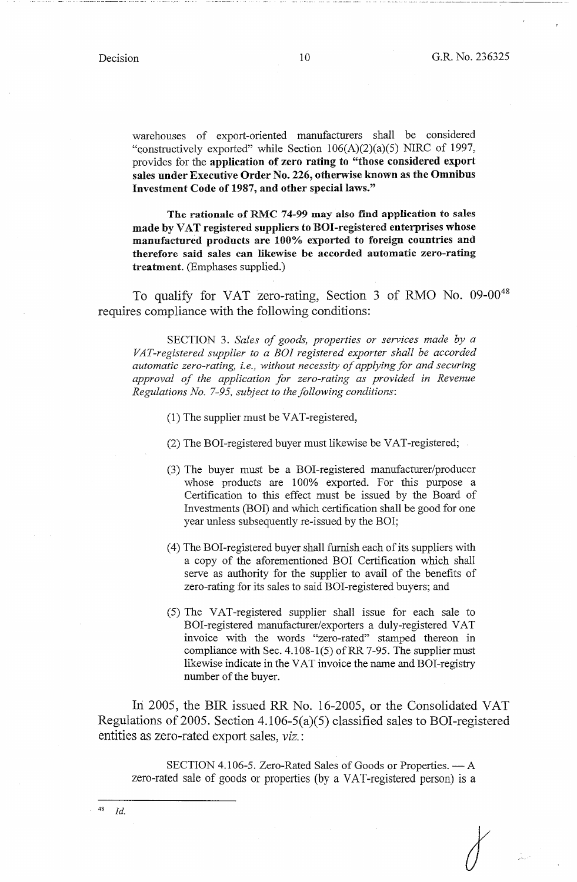warehouses of export-oriented manufacturers shall be considered "constructively exported" while Section 106(A)(2)(a)(5) NIRC of 1997, provides for the **application of zero rating to "those considered export sales under Executive Order No. 226, otherwise known as the Omnibus Investment Code of 1987, and other special laws."** 

**The rationale of RMC 74-99 may also find application to sales made by VAT registered suppliers to ROI-registered enterprises whose manufactured products are 100% exported to foreign countries and therefore said sales can likewise be accorded automatic zero-rating treatment.** (Emphases supplied.)

To qualify for VAT zero-rating, Section 3 of RMO No. 09-00<sup>48</sup> requires compliance with the following conditions:

SECTION 3. *Sales of goods, properties or services made by a VAT-registered supplier to a BOI registered exporter shall be accorded automatic zero-rating, i.e., without necessity of applying for and securing approval of the application for zero-rating as provided in Revenue Regulations No. 7-95, subject to the following conditions:* 

(1) The supplier must be VAT-registered,

- (2) The BOI-registered buyer must likewise be VAT-registered;
- (3) The buyer must be a BOI-registered manufacturer/producer whose products are 100% exported. For this purpose a Certification to this effect must be issued by the Board of Investments (BOI) and which certification shall be good for one year unless subsequently re-issued by the BOI;
- (4) The BOI-registered buyer shall furnish each of its suppliers with a copy of the aforementioned BOI Certification which shall serve as authority for the supplier to avail of the benefits of zero-rating for its sales to said BOI-registered buyers; and
- (5) The VAT-registered supplier shall issue for each sale to BOI-registered manufacturer/exporters a duly-registered VAT invoice with the words "zero-rated" stamped thereon in compliance with Sec. 4.108-1(5) of RR 7-95. The supplier must likewise indicate in the VAT invoice the name and BOI-registry number of the buyer.

In 2005, the BIR issued RR No. 16-2005, or the Consolidated VAT Regulations of 2005. Section 4.106-5(a)(5) classified sales to BOI-registered entities as zero-rated export sales, *viz.:* 

SECTION 4.106-5. Zero-Rated Sales of Goods or Properties. --- A zero-rated sale of goods or properties (by a VAT-registered person) is a

<sup>48</sup>*Id.*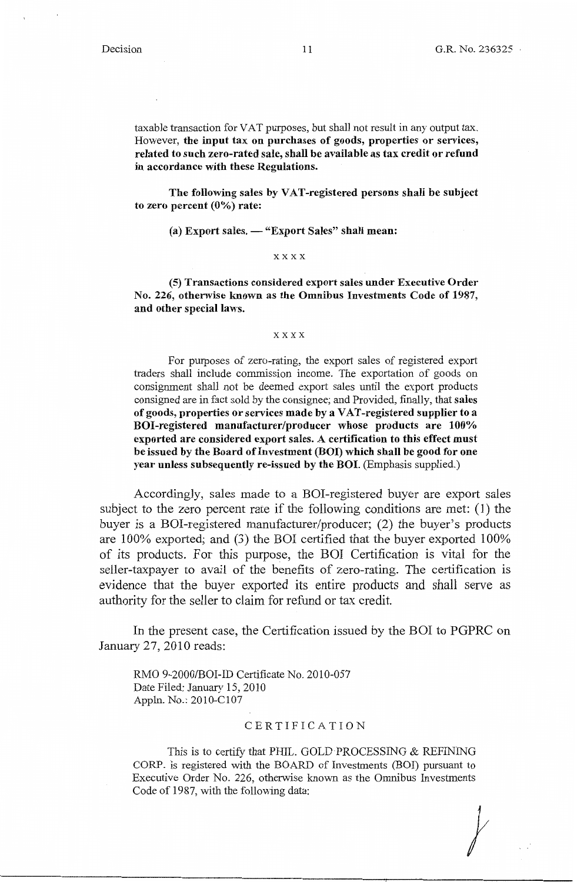$\frac{1}{2}$ 

taxable transaction for VAT purposes, but shall not result in any output tax. However, **the input tax on purchases of goods, properties or services, related to such zero-rated sale, shall be available as tax credit or refund in accordance with these Regulations.** 

The following sales by VAT-registered persons shall be subject to zero percent (0%) rate:

(a) Export sales.  $-$  "Export Sales" shall mean:

#### xxxx

**(5) Transactions considered export sales under Executive Order**  No. **226, otherwise known as the Omnibus Investments Code of 1987, and other special laws.** 

#### xxxx

For purposes of zero-rating, the export sales of registered export traders shall include commission income. The exportation of goods on consignment shall not be deemed export sales until the export products consigned are in fact sold by the consignee; and Provided, finally, that **sales of goods, properties or services made by a VAT-registered supplier to a BOI-registered manufacturer/producer whose products are 100% exported are considered export sales. A certification to this effect must**  be issued by the Board of Investment (BOI) which shall be good for one year unless subsequently re-issued by the BOI. (Emphasis supplied.)

Accordingly, sales made to a BOI-registered buyer are export sales subject to the zero percent rate if the following conditions are met: (I) the buyer is a BOI-registered manufacturer/producer; (2) the buyer's products are 100% exported; and (3) the BOI certified that the buyer exported 100% of its products. For this purpose, the BOI Certification is vital for the seller-taxpayer to avail of the benefits of zero-rating. The certification is evidence that the buyer exported its entire products and shall serve as authority for the seller to claim for refund or tax credit.

In the present case, the Certification issued by the BOI to PGPRC on January 27, 2010 reads:

RMO 9-2000/BOI-ID Certificate No. 2010-057 Date Filed: January 15, 2010 Appln. No.: 2010-Cl07

## CERTIFICATION

This is to certify that PHIL. GOLD PROCESSING & REFINING CORP. is registered with the BOARD of Investments (BOI) pursuant to Executive Order No. 226, otherwise known as the Omnibus Investments Code of 1987, with the following data: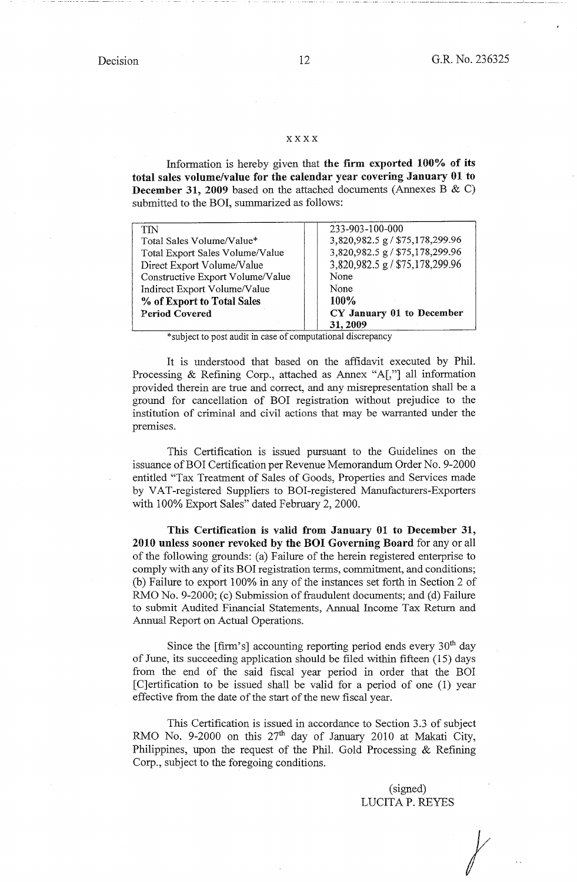···--'--·-·-·--· --···-- .

## xxxx

Information is hereby given that **the firm exported 100% of its total sales volume/value for the calendar year covering January 01 to December 31, 2009** based on the attached documents (Annexes B & C) submitted to the BOI, summarized as follows:

| TN                               | 233-903-100-000                 |
|----------------------------------|---------------------------------|
| Total Sales Volume/Value*        | 3,820,982.5 g / \$75,178,299.96 |
| Total Export Sales Volume/Value  | 3,820,982.5 g / \$75,178,299.96 |
| Direct Export Volume/Value       | 3,820,982.5 g / \$75,178,299.96 |
| Constructive Export Volume/Value | None                            |
| Indirect Export Volume/Value     | None                            |
| % of Export to Total Sales       | 100%                            |
| <b>Period Covered</b>            | CY January 01 to December       |
|                                  | 31, 2009                        |

\*subject to post audit in case of computational discrepancy

It is tmderstood that based on the affidavit executed by Phil. Processing & Refining Corp., attached as Annex "A[,"] all information provided therein are tme and correct, and any misrepresentation shall be a ground for cancellation of BOI registration without prejudice to the institution of criminal and civil actions that may be warranted under the premises.

This Certification is issued pursuant to the Guidelines on the issuance of BOI Certification per Revenue Memorandum Order No. 9-2000 entitled "Tax Treatment of Sales of Goods, Properties and Services made by VAT-registered Suppliers to BOI-registered Manufacturers-Exporters with 100% Export Sales" dated February 2, 2000.

**This Certification** is **valid from January 01 to December 31, 2010 unless sooner revoked by the BOI Governing Board** for any or all of the following grounds: (a) Failure of the herein registered enterprise to comply with any of its BOI registration terms, commitment, and conditions; (b) Failure to export 100% in any of the instances set forth in Section 2 of RMO No. 9-2000; (c) Submission of fraudulent documents; and (d) Failure to submit Audited Financial Statements, Annual Income Tax Return and Annual Report on Actual Operations.

Since the  $\lceil$  firm's accounting reporting period ends every 30<sup>th</sup> day of June, its succeeding application should be filed within fifteen (15) days from the end of the said fiscal year period in order that the BOI [C]ertification to be issued shall be valid for a period of one (1) year effective from the date of the start of the new fiscal year.

This Certification is issued in accordance to Section 3.3 of subject RMO No. 9-2000 on this 27<sup>th</sup> day of January 2010 at Makati City, Philippines, upon the request of the Phil. Gold Processing & Refining Corp., subject to the foregoing conditions.

(signed) LUCITA P. REYES

*t*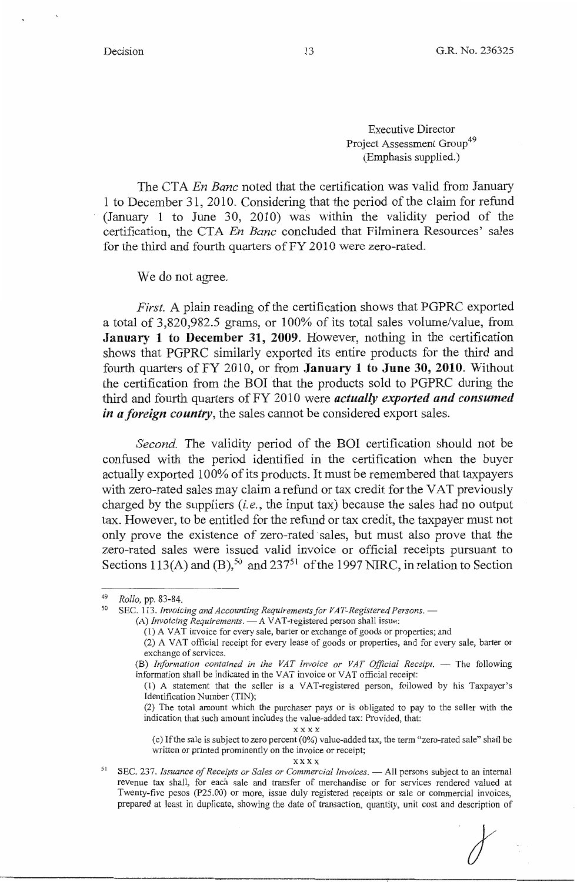Executive Director Project Assessment Group<sup>49</sup> (Emphasis supplied.)

The CTA *En Banc* noted that the certification was valid from January 1 to December 31, 2010. Considering that the period of the claim for refund (January 1 to June 30, 2010) was within the validity period of the certification, the CTA *En Banc* concluded that Filminera Resources' sales for the third and fourth quarters of FY 2010 were zero-rated.

We do not agree.

*First.* A plain reading of the certification shows that PGPRC exported a total of 3,820,982.5 grams, or 100% of its total sales volume/value, from **January 1 to December 31, 2009.** However, nothing in the certification shows that PGPRC similarly exported its entire products for the third and fourth quarters of FY 2010, or from **January 1 to June 30, 2010.** Without the certification from the BOI that the products sold to PGPRC during the third and fourth quarters of FY 2010 were *actually exported and consumed in a foreign country,* the sales cannot be considered export sales.

*Second.* The validity period of the BOI certification should not be confused with the period identified in the certification when the buyer actually exported 100% of its products. It must be remembered that taxpayers with zero-rated sales may claim a refund or tax credit for the VAT previously charged by the suppliers *(i.e.,* the input tax) because the sales had no output tax. However, to be entitled for the refund or tax credit, the taxpayer must not only prove the existence of zero-rated sales, but must also prove that the zero-rated sales were issued valid invoice or official receipts pursuant to Sections 113(A) and  $(B)$ ,<sup>50</sup> and 237<sup>51</sup> of the 1997 NIRC, in relation to Section

xxxx

(c) If the sale is subject to zero percent (0%) value-added tax, the term "zero-rated sale" shall be written or printed prominently on the invoice or receipt;

xxxx

<sup>51</sup> SEC. 237. *Issuance of Receipts or Sales or Commercial Invoices*. - All persons subject to an internal revenue tax shall, for each sale and transfer of merchandise or for services rendered valued at Twenty-five pesos (P25.00) or more, issue duly registered receipts or sale or commercial invoices, prepared at least in duplicate, showing the date of transaction, quantity, unit cost and description of

<sup>&</sup>lt;sup>49</sup> Rollo, pp. 83-84.<br><sup>50</sup> SEC. 113. *Invoicing and Accounting Requirements for VAT-Registered Persons.* --

<sup>(</sup>A) *Invoicing Requirements*. - A VAT-registered person shall issue:

<sup>(1)</sup> A VAT invoice for every sale, barter or exchange of goods or properties; and

<sup>(2)</sup> A VAT official receipt for every lease of goods or properties, and for every sale, barter or exchange of services.

<sup>(</sup>B) Information contained in the VAT Invoice or VAT Official Receipt. - The following information shall be indicated in the VAT invoice or VAT official receipt:

<sup>(1)</sup> A statement that the seller is a VAT-registered person, followed by his Taxpayer's Identification Number (TIN);

<sup>(2)</sup> The total amount which the purchaser pays or is obligated to pay to the seller with the indication that such amount includes the value-added tax: Provided, that: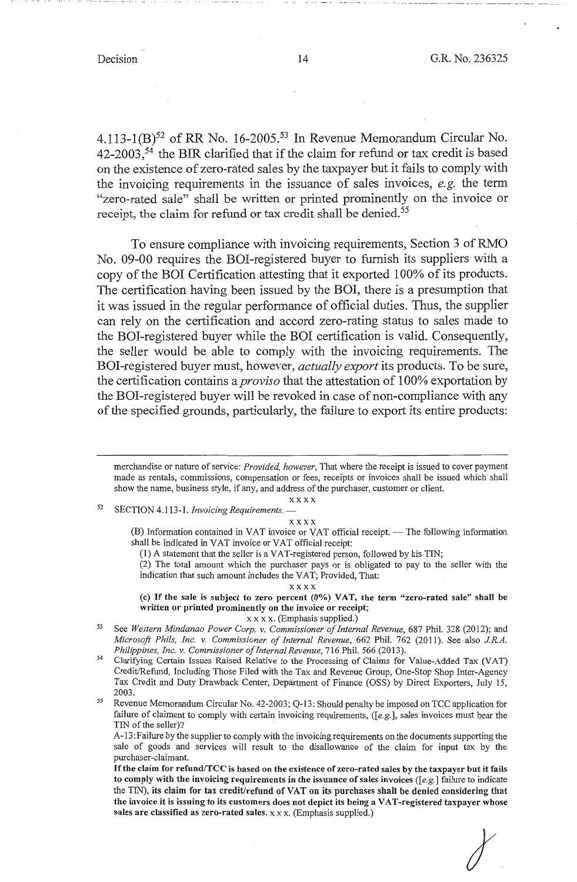- . - .. --- -- --------- - -·--··-- - -· --- --·--· ·-- .l \_\_ --------·--·

4.113-1(B)<sup>52</sup> of RR No. 16-2005.<sup>53</sup> In Revenue Memorandum Circular No.  $42-2003$ ,<sup>54</sup> the BIR clarified that if the claim for refund or tax credit is based on the existence of zero-rated sales by the taxpayer but it fails to comply with the invoicing requirements in the issuance of sales invoices, *e.g.* the term "zero-rated sale" shall be written or printed prominently on the invoice or receipt, the claim for refund or tax credit shall be denied.<sup>55</sup>

To ensure compliance with invoicing requirements, Section 3 ofRMO No. 09-00 requires the BOI-registered buyer to furnish its suppliers with a copy of the BOI Certification attesting that it exported 100% of its products. The certification having been issued by the BOI, there is a presumption that it was issued in the regular performance of official duties. Thus, the supplier can rely on the certification and accord zero-rating status to sales made to the BOI-registered buyer while the BOI certification is valid. Consequently, the seller would be able to comply with the invoicing requirements. The BOI-registered buyer must, however, *actually export* its products. To be sure, the certification contains a *proviso* that the attestation of 100% exportation by the BOI-registered buyer will be revoked in case of non-compliance with any of the specified grounds, particularly, the failure to export its entire products:

52 SECTION 4.113-1. *Invoicing Requirements.* -

xxxx

xxxx

(B) Information contained in VAT invoice or VAT official receipt. - The following information shall be indicated in VAT invoice or VAT official receipt:

(1) A statement that the seller is a VAT-registered person, followed by his TIN;

(2) The total amount which the purchaser pays or is obligated to pay to the seller with the indication that such amount includes the VAT; Provided, That:

xxxx

(c) If **the sale is subject to zero percent (0%) VAT, the term "zero-rated sale" shall be written or printed prominently on the invoice or receipt;** 

- xx xx. (Emphasis supplied.) 53 See *Western Mindanao Power Corp. v. Commissioner of Internal Revenue,* 687 Phil. 328 (2012); and *Microsoft Phils, Inc. v. Commissioner of Internal Revenue, 662 Phil. 762 (2011). See also J.R.A. Philippines, Inc. v. Commissioner of Internal Revenue, 716 Phil. 566 (2013).*
- Clarifying Certain Issues Raised Relative to the Processing of Claims for Value-Added Tax (VAT) Credit/Refund, Including Those Filed with the Tax and Revenue Group, One-Stop Shop Inter-Agency Tax Credit and Duty Drawback Center, Department of Finance (OSS) by Direct Exporters, July 15, 2003. 55 Revenue Memorandum Circular No. 42-2003; Q-13: Should penalty be imposed on TCC application for
- failure of claimant to comply with certain invoicing requirements, ([e.g.], sales invoices must bear the TIN of the seller)?

A-13: Failure by the supplier to comply with the invoicing requirements on the documents supporting the sale of goods and services will result to the disallowance of the claim for input tax by the purchaser-claimant.

If the claim for refund/TCC is based on the existence of zero-rated sales by the taxpayer but it fails to comply with the invoicing requirements in the issuance of sales invoices ( $[e.g.]$  failure to indicate the TIN), its claim for tax credit/refund of VAT on its purchases shall be denied considering that the invoice it is issuing to its customers does not depict its being a VAT-registered taxpayer whose sales are classified as zero-rated sales. x x x. (Emphasis supplied.)

merchandise or nature of service: *Provided, however,* That where the receipt is issued to cover payment made as rentals, commissions, compensation or fees, receipts or invoices shall be issued which shall show the name, business style, if any, and address of the purchaser, customer or client.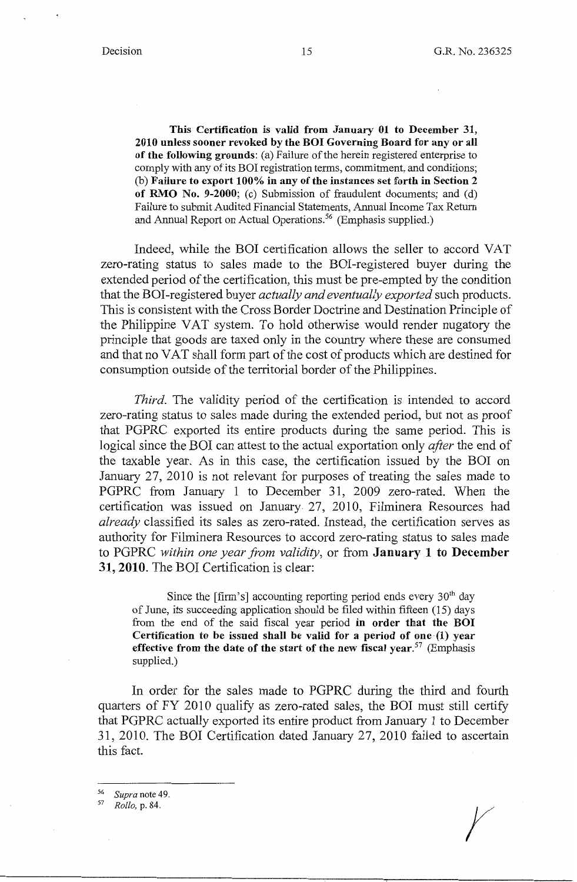**This Certification is valid from January 01 to December 31, 2010 unless sooner revoked by the BOI Governing Board for any or all of the following grounds:** (a) Failure of the herein registered enterprise to comply with any of its BOI registration terms, commitment, and conditions; (b) **Failure to export 100% in any of the instances set forth in Section 2 of RMO No. 9-2000;** (c) Submission of fraudulent documents; and (d) Failure to submit Audited Financial Statements, Annual Income Tax Return and Annual Report on Actual Operations.<sup>56</sup> (Emphasis supplied.)

Indeed, while the BOI certification allows the seller to accord VAT zero-rating status to sales made to the BOI-registered buyer during the extended period of the certification, this must be pre-empted by the condition that the BOI-registered buyer *actually and eventually exported* such products. This is consistent with the Cross Border Doctrine and Destination Principle of the Philippine VAT system. To hold otherwise would render nugatory the principle that goods are taxed only in the country where these are consumed and that no VAT shall form part of the cost of products which are destined for consumption outside of the territorial border of the Philippines.

*Third.* The validity period of the certification is intended to accord zero-rating status to sales made during the extended period, but not as proof that PGPRC exported its entire products during the same period. This is logical since the BOI can attest to the actual exportation only *after* the end of the taxable year. As in this case, the certification issued by the BOI on January 27, 2010 is not relevant for purposes of treating the sales made to PGPRC from January 1 to December 31, 2009 zero-rated. When the certification was issued on January 27, 2010, Filminera Resources had *already* classified its sales as zero-rated. Instead, the certification serves as authority for Filminera Resources to accord zero-rating status to sales made to PGPRC within one year from validity, or from **January 1 to December 31, 2010.** The BOI Certification is clear:

Since the  $\lceil$ firm's $\rceil$  accounting reporting period ends every 30<sup>th</sup> day of June, its succeeding application should be filed within fifteen (15) days from the end of the said fiscal year period **in order that the BOI Certification to be issued shall be valid for a period of one-(1) year effective from the date of the start of the new fiscal year.57** (Emphasis supplied.)

In order for the sales made to PGPRC during the third and fourth quarters of FY 2010 qualify as zero-rated sales, the BOI must still certify that PGPRC actually exported its entire product from January 1 to December 31, 2010. The BOI Certification dated January 27, 2010 failed to ascertain this fact.

56 *Supra* note 49.

<sup>57</sup>*Rollo,* p. 84.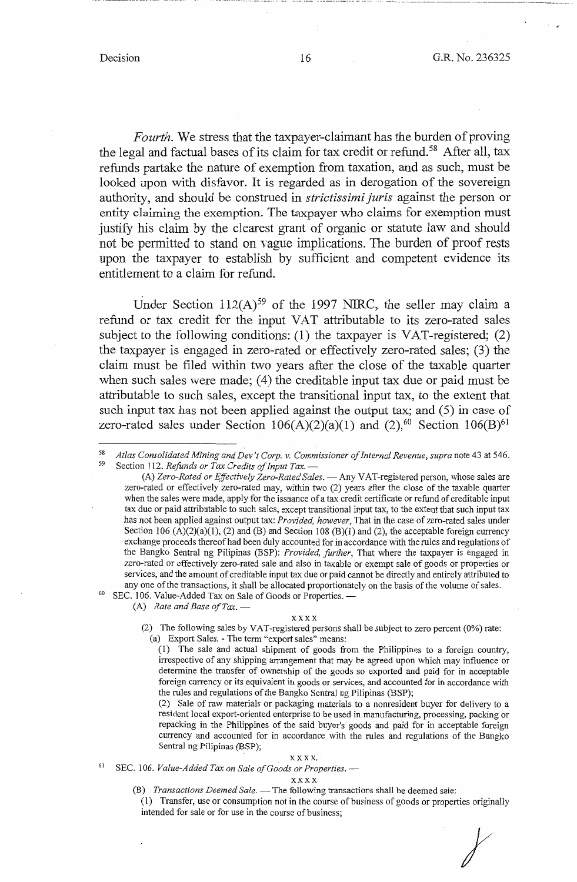\_\_\_\_\_\_\_\_\_\_\_\_ , \_\_\_ \_

*Fourth.* We stress that the taxpayer-claimant has the burden of proving the legal and factual bases of its claim for tax credit or refund.<sup>58</sup> After all, tax refunds partake the nature of exemption from taxation, and as such, must be looked upon with disfavor. It is regarded as in derogation of the sovereign authority, and should be construed in *strictissimi Juris* against the person or entity claiming the exemption. The taxpayer who claims for exemption must justify his claim by the clearest grant of organic or statute law and should not be permitted to stand on vague implications. The burden of proof rests upon the taxpayer to establish by sufficient and competent evidence its entitlement to a claim for refund.

Under Section  $112(A)^{59}$  of the 1997 NIRC, the seller may claim a refund or tax credit for the input VAT attributable to its zero-rated sales subject to the following conditions: (1) the taxpayer is VAT-registered; (2) the taxpayer is engaged in zero-rated or effectively zero-rated sales; (3) the claim must be filed within two years after the close of the taxable quarter when such sales were made; (4) the creditable input tax due or paid must be attributable to such sales, except the transitional input tax, to the extent that such input tax has not been applied against the output tax; and  $(5)$  in case of zero-rated sales under Section  $106(A)(2)(a)(1)$  and  $(2),<sup>60</sup>$  Section  $106(B)<sup>61</sup>$ 

(A) *Zero-Rated or Effectively Zero-Rated Sales.* - Any VAT-registered person, whose sales are zero-rated or effectively zero-rated may, within two (2) years after the close of the taxable quarter when the sales were made, apply for the issuance of a tax credit certificate or refund of creditable input tax due or paid attributable to such sales, except transitional input tax, to the extent that such input tax has not been applied against output tax: *Provided, however,* That in the case of zero-rated sales under Section 106 (A)(2)(a)(1), (2) and (B) and Section 108 (B)(1) and (2), the acceptable foreign currency exchange proceeds thereof had been duly accounted for in accordance with the rules and regulations of the Bangko Sentral ng Pilipinas (BSP): *Provided, farther,* That where the taxpayer is engaged in zero-rated or effectively zero-rated sale and also in taxable or exempt sale of goods or properties or services, and the amount of creditable input tax due or paid cannot be directly and entirely attributed to any one of the transactions, it shall be allocated proportionately on the basis of the volume of sales. SEC. 106. Value-Added Tax on Sale of Goods or Properties. —

(A) *Rate and Base of Tax.* -

### xxxx

(2) The following sales by VAT-registered persons shall be subject to zero percent (0%) rate: (a) Export Sales. - The term "export sales" means:

(1) The sale and actual shipment of goods from the Philippines to a foreign country, irrespective of any shipping arrangement that may be agreed upon which may influence or determine the transfer of ownership of the goods so exported and paid for in acceptable foreign currency or its equivalent in goods or services, and accounted for in accordance with the rules and regulations of the Bangko Sentral ng Pilipinas (BSP);

(2) Sale of raw materials or packaging materials to a nonresident buyer for delivery to a resident local export-oriented enterprise to be used in manufacturing, processing, packing or repacking in the Philippines of the said buyer's goods and paid for in acceptable foreign currency and accounted for in accordance with the rules and regulations of the Bangko Sentral ng Pilipinas (BSP);

xxxx. 61 SEC. 106. *Value-Added Tax on Sale of Goods or Properties.* -

#### xxxx

- (B) *Transactions Deemed Sale*. The following transactions shall be deemed sale:
- (1) Transfer, use or consumption not in the course of business of goods or properties originally intended for sale or for use in the course of business; *t*

<sup>&</sup>lt;sup>58</sup> *Atlas Consolidated Mining and Dev't Corp. v. Commissioner of Internal Revenue, supra* note 43 at 546.<br><sup>59</sup> Section 112. *Refunds or Tax Credits of Input Tax.* —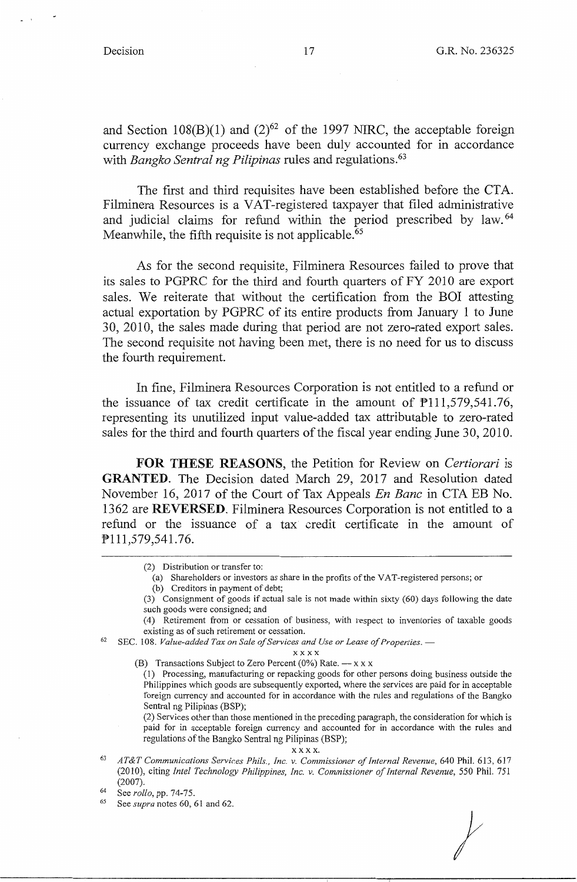and Section 108(B)(1) and  $(2)^{62}$  of the 1997 NIRC, the acceptable foreign currency exchange proceeds have been duly accounted for in accordance with *Bangko Sentral ng Pilipinas* rules and regulations.<sup>63</sup>

The first and third requisites have been established before the CTA. Filminera Resources is a VAT-registered taxpayer that filed administrative and judicial claims for refund within the period prescribed by law.<sup>64</sup> Meanwhile, the fifth requisite is not applicable.<sup>65</sup>

As for the second requisite, Filminera Resources failed to prove that its sales to PGPRC for the third and fourth quarters of FY 2010 are export sales. We reiterate that without the certification from the BOI attesting actual exportation by PGPRC of its entire products from January I to June 30, 2010, the sales made during that period are not zero-rated export sales. The second requisite not having been met, there is no need for us to discuss the fourth requirement.

In fine, Filminera Resources Corporation is not entitled to a refund or the issuance of tax credit certificate in the amount of  $P111,579,541.76$ , representing its unutilized input value-added tax attributable to zero-rated sales for the third and fourth quarters of the fiscal year ending June 30, 2010.

**FOR THESE REASONS,** the Petition for Review on *Certiorari* is **GRANTED.** The Decision dated March 29, 2017 and Resolution dated November 16, 2017 of the Court of Tax Appeals *En Banc* in CTA EB No. 1362 are **REVERSED.** Filminera Resources Corporation is not entitled to a refund or the issuance of a tax credit certificate in the amount of Pl 11,579,541.76.

(a) Shareholders or investors as share in the profits of the VAT-registered persons; or

- (3) Consignment of goods if actual sale is not made within sixty (60) days following the date such goods were consigned; and
- (4) Retirement from or cessation of business, with respect to inventories of taxable goods
- existing as of such retirement or cessation.<br><sup>62</sup> SEC. 108. *Value-added Tax on Sale of Services and Use or Lease of Properties.* —

xxxx

(B) Transactions Subject to Zero Percent (0%) Rate.  $- x x x$ 

(1) Processing, manufacturing or repacking goods for other persons doing business outside the Philippines which goods are subsequently exported, where the services are paid for in acceptable foreign currency and accounted for in accordance with the rules and regulations of the Bangko Sentral ng Pilipinas (BSP);

(2) Services other than those mentioned in the preceding paragraph, the consideration for which is paid for in acceptable foreign currency and accounted for in accordance with the rules and regulations of the Bangko Sentral ng Pilipinas (BSP);

xxxx. 63 *AT&T Communications Services Phils., Inc. v. Commissioner of Internal Revenue,* 640 Phil. 613,617 (2010), citing *Intel Technology Philippines, Inc. v. Commissioner of Internal Revenue,* 550 Phil. 751 (2007). 64 See *rollo,* pp. 74-75. 65 See *supra* notes 60, 61 and 62.

<sup>(2)</sup> Distribution or transfer to:

<sup>(</sup>b) Creditors in payment of debt;